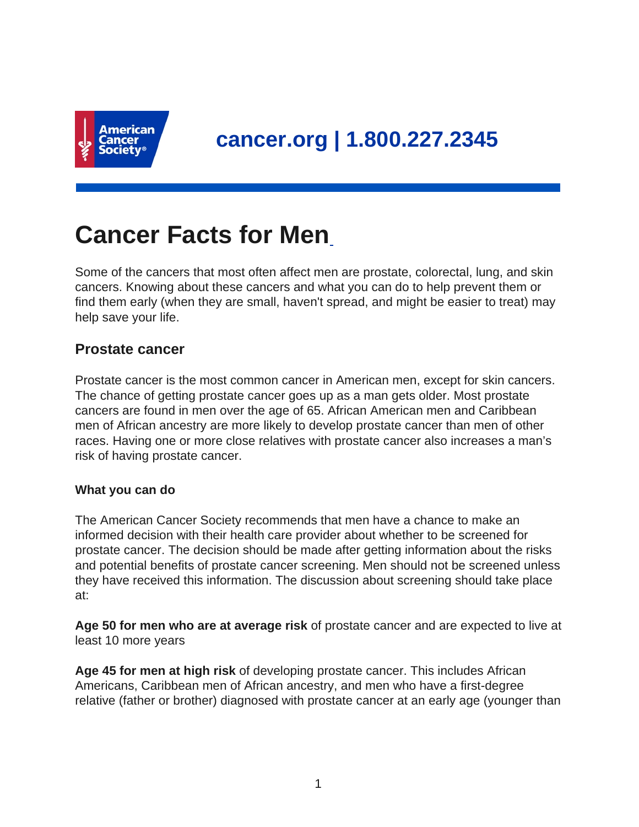

# **Cancer Facts for Men**

Some of the cancers that most often affect men are prostate, colorectal, lung, and skin cancers. Knowing about these cancers and what you can do to help prevent them or find them early (when they are small, haven't spread, and might be easier to treat) may help save your life.

# **Prostate cancer**

Prostate cancer is the most common cancer in American men, except for skin cancers. The chance of getting prostate cancer goes up as a man gets older. Most prostate cancers are found in men over the age of 65. African American men and Caribbean men of African ancestry are more likely to develop prostate cancer than men of other races. Having one or more close relatives with prostate cancer also increases a man's risk of having prostate cancer.

#### **What you can do**

The American Cancer Society recommends that men have a chance to make an informed decision with their health care provider about whether to be screened for prostate cancer. The decision should be made after getting information about the risks and potential benefits of prostate cancer screening. Men should not be screened unless they have received this information. The discussion about screening should take place at:

**Age 50 for men who are at average risk** of prostate cancer and are expected to live at least 10 more years

**Age 45 for men at high risk** of developing prostate cancer. This includes African Americans, Caribbean men of African ancestry, and men who have a first-degree relative (father or brother) diagnosed with prostate cancer at an early age (younger than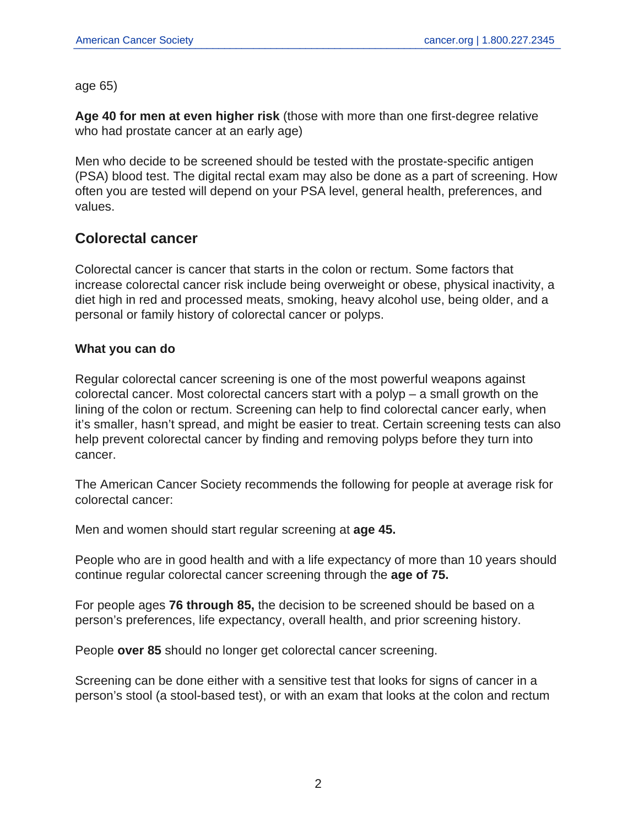age 65)

**Age 40 for men at even higher risk** (those with more than one first-degree relative who had prostate cancer at an early age)

Men who decide to be screened should be tested with the prostate-specific antigen (PSA) blood test. The digital rectal exam may also be done as a part of screening. How often you are tested will depend on your PSA level, general health, preferences, and values.

# **Colorectal cancer**

Colorectal cancer is cancer that starts in the colon or rectum. Some factors that increase colorectal cancer risk include being overweight or obese, physical inactivity, a diet high in red and processed meats, smoking, heavy alcohol use, being older, and a personal or family history of colorectal cancer or polyps.

## **What you can do**

Regular colorectal cancer screening is one of the most powerful weapons against colorectal cancer. Most colorectal cancers start with a polyp – a small growth on the lining of the colon or rectum. Screening can help to find colorectal cancer early, when it's smaller, hasn't spread, and might be easier to treat. Certain screening tests can also help prevent colorectal cancer by finding and removing polyps before they turn into cancer.

The American Cancer Society recommends the following for people at average risk for colorectal cancer:

Men and women should start regular screening at **age 45.**

People who are in good health and with a life expectancy of more than 10 years should continue regular colorectal cancer screening through the **age of 75.**

For people ages **76 through 85,** the decision to be screened should be based on a person's preferences, life expectancy, overall health, and prior screening history.

People **over 85** should no longer get colorectal cancer screening.

Screening can be done either with a sensitive test that looks for signs of cancer in a person's stool (a stool-based test), or with an exam that looks at the colon and rectum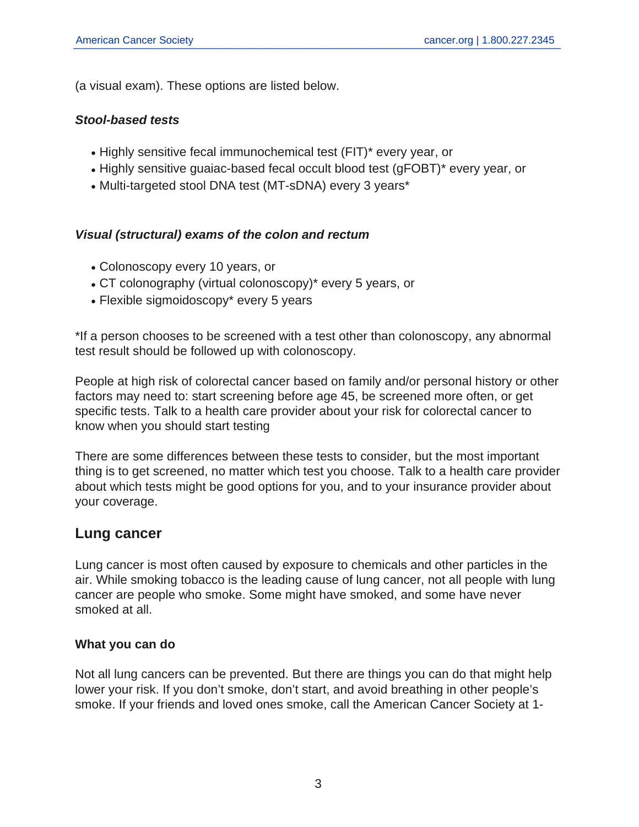(a visual exam). These options are listed below.

#### **Stool-based tests**

- Highly sensitive fecal immunochemical test (FIT)\* every year, or
- Highly sensitive guaiac-based fecal occult blood test (gFOBT)\* every year, or
- Multi-targeted stool DNA test (MT-sDNA) every 3 years\*

## **Visual (structural) exams of the colon and rectum**

- Colonoscopy every 10 years, or
- CT colonography (virtual colonoscopy)\* every 5 years, or
- Flexible sigmoidoscopy\* every 5 years

\*If a person chooses to be screened with a test other than colonoscopy, any abnormal test result should be followed up with colonoscopy.

People at high risk of colorectal cancer based on family and/or personal history or other factors may need to: start screening before age 45, be screened more often, or get specific tests. Talk to a health care provider about your risk for colorectal cancer to know when you should start testing

There are some differences between these tests to consider, but the most important thing is to get screened, no matter which test you choose. Talk to a health care provider about which tests might be good options for you, and to your insurance provider about your coverage.

## **Lung cancer**

Lung cancer is most often caused by exposure to chemicals and other particles in the air. While smoking tobacco is the leading cause of lung cancer, not all people with lung cancer are people who smoke. Some might have smoked, and some have never smoked at all.

#### **What you can do**

Not all lung cancers can be prevented. But there are things you can do that might help lower your risk. If you don't smoke, don't start, and avoid breathing in other people's smoke. If your friends and loved ones smoke, call the American Cancer Society at 1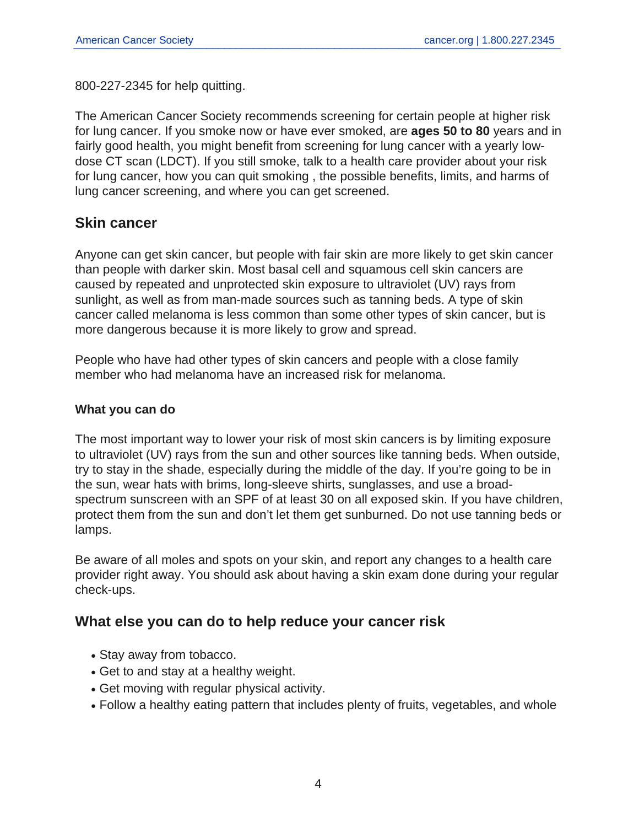800-227-2345 for help quitting.

The American Cancer Society recommends screening for certain people at higher risk for lung cancer. If you smoke now or have ever smoked, are **ages 50 to 80** years and in fairly good health, you might benefit from screening for lung cancer with a yearly lowdose CT scan (LDCT). If you still smoke, talk to a health care provider about your risk for lung cancer, how you can quit smoking , the possible benefits, limits, and harms of lung cancer screening, and where you can get screened.

# **Skin cancer**

Anyone can get skin cancer, but people with fair skin are more likely to get skin cancer than people with darker skin. Most basal cell and squamous cell skin cancers are caused by repeated and unprotected skin exposure to ultraviolet (UV) rays from sunlight, as well as from man-made sources such as tanning beds. A type of skin cancer called melanoma is less common than some other types of skin cancer, but is more dangerous because it is more likely to grow and spread.

People who have had other types of skin cancers and people with a close family member who had melanoma have an increased risk for melanoma.

## **What you can do**

The most important way to lower your risk of most skin cancers is by limiting exposure to ultraviolet (UV) rays from the sun and other sources like tanning beds. When outside, try to stay in the shade, especially during the middle of the day. If you're going to be in the sun, wear hats with brims, long-sleeve shirts, sunglasses, and use a broadspectrum sunscreen with an SPF of at least 30 on all exposed skin. If you have children, protect them from the sun and don't let them get sunburned. Do not use tanning beds or lamps.

Be aware of all moles and spots on your skin, and report any changes to a health care provider right away. You should ask about having a skin exam done during your regular check-ups.

# **What else you can do to help reduce your cancer risk**

- Stay away from tobacco.
- Get to and stay at a healthy weight.
- Get moving with regular physical activity.
- Follow a healthy eating pattern that includes plenty of fruits, vegetables, and whole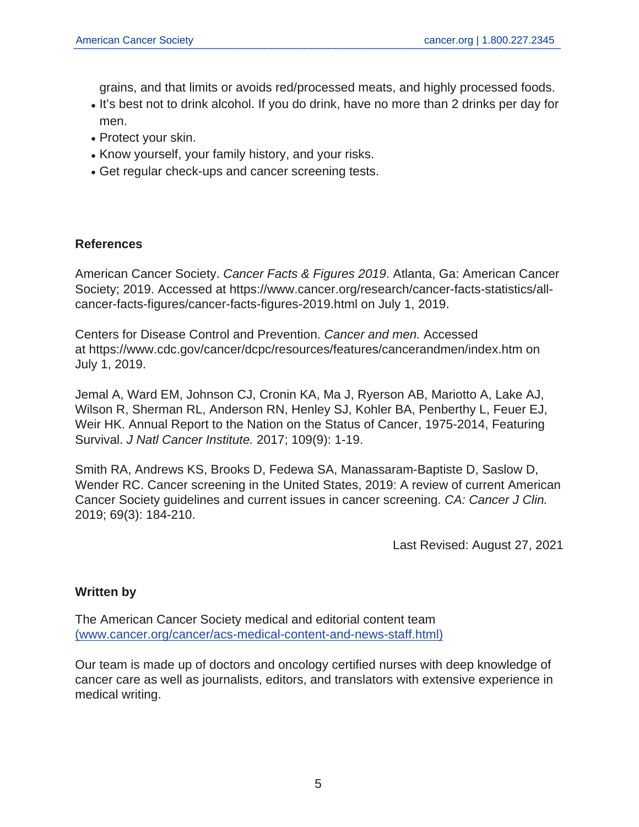grains, and that limits or avoids red/processed meats, and highly processed foods.

- It's best not to drink alcohol. If you do drink, have no more than 2 drinks per day for men.
- Protect your skin.
- Know yourself, your family history, and your risks.
- Get regular check-ups and cancer screening tests.

## **References**

American Cancer Society. Cancer Facts & Figures 2019. Atlanta, Ga: American Cancer Society; 2019. Accessed at https://www.cancer.org/research/cancer-facts-statistics/allcancer-facts-figures/cancer-facts-figures-2019.html on July 1, 2019.

Centers for Disease Control and Prevention. Cancer and men. Accessed at https://www.cdc.gov/cancer/dcpc/resources/features/cancerandmen/index.htm on July 1, 2019.

Jemal A, Ward EM, Johnson CJ, Cronin KA, Ma J, Ryerson AB, Mariotto A, Lake AJ, Wilson R, Sherman RL, Anderson RN, Henley SJ, Kohler BA, Penberthy L, Feuer EJ, Weir HK. Annual Report to the Nation on the Status of Cancer, 1975-2014, Featuring Survival. J Natl Cancer Institute. 2017; 109(9): 1-19.

Smith RA, Andrews KS, Brooks D, Fedewa SA, Manassaram-Baptiste D, Saslow D, Wender RC. Cancer screening in the United States, 2019: A review of current American Cancer Society guidelines and current issues in cancer screening. CA: Cancer J Clin. 2019; 69(3): 184-210.

Last Revised: August 27, 2021

#### **Written by**

The American Cancer Society medical and editorial content team [\(www.cancer.org/cancer/acs-medical-content-and-news-staff.html\)](https://www.cancer.org/cancer/acs-medical-content-and-news-staff.html)

Our team is made up of doctors and oncology certified nurses with deep knowledge of cancer care as well as journalists, editors, and translators with extensive experience in medical writing.